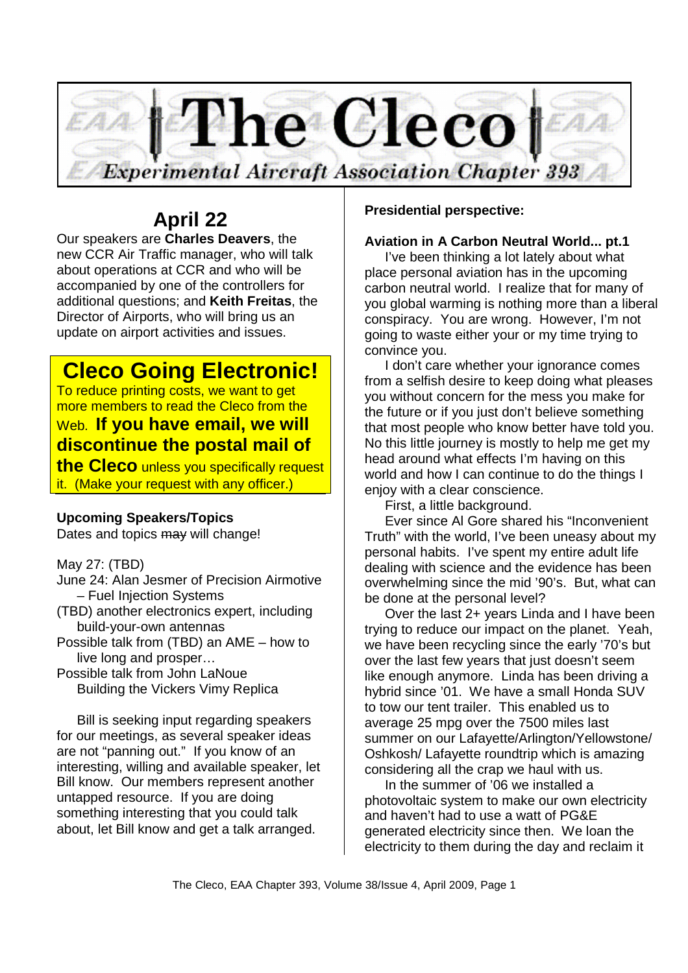

# **April 22**

Our speakers are **Charles Deavers**, the new CCR Air Traffic manager, who will talk about operations at CCR and who will be accompanied by one of the controllers for additional questions; and **Keith Freitas**, the Director of Airports, who will bring us an update on airport activities and issues.

# **Cleco Going Electronic!**

To reduce printing costs, we want to get more members to read the Cleco from the Web. **If you have email, we will discontinue the postal mail of** 

**the Cleco** unless you specifically request it. (Make your request with any officer.)

# **Upcoming Speakers/Topics**

Dates and topics may will change!

May 27: (TBD)

- June 24: Alan Jesmer of Precision Airmotive – Fuel Injection Systems
- (TBD) another electronics expert, including build-your-own antennas
- Possible talk from (TBD) an AME how to live long and prosper…

Possible talk from John LaNoue Building the Vickers Vimy Replica

Bill is seeking input regarding speakers for our meetings, as several speaker ideas are not "panning out." If you know of an interesting, willing and available speaker, let Bill know. Our members represent another untapped resource. If you are doing something interesting that you could talk about, let Bill know and get a talk arranged.

**Presidential perspective:**

# **Aviation in A Carbon Neutral World... pt.1**

I've been thinking a lot lately about what place personal aviation has in the upcoming carbon neutral world. I realize that for many of you global warming is nothing more than a liberal conspiracy. You are wrong. However, I'm not going to waste either your or my time trying to convince you.

I don't care whether your ignorance comes from a selfish desire to keep doing what pleases you without concern for the mess you make for the future or if you just don't believe something that most people who know better have told you. No this little journey is mostly to help me get my head around what effects I'm having on this world and how I can continue to do the things I enjoy with a clear conscience.

First, a little background.

Ever since Al Gore shared his "Inconvenient Truth" with the world, I've been uneasy about my personal habits. I've spent my entire adult life dealing with science and the evidence has been overwhelming since the mid '90's. But, what can be done at the personal level?

Over the last 2+ years Linda and I have been trying to reduce our impact on the planet. Yeah, we have been recycling since the early '70's but over the last few years that just doesn't seem like enough anymore. Linda has been driving a hybrid since '01. We have a small Honda SUV to tow our tent trailer. This enabled us to average 25 mpg over the 7500 miles last summer on our Lafayette/Arlington/Yellowstone/ Oshkosh/ Lafayette roundtrip which is amazing considering all the crap we haul with us.

In the summer of '06 we installed a photovoltaic system to make our own electricity and haven't had to use a watt of PG&E generated electricity since then. We loan the electricity to them during the day and reclaim it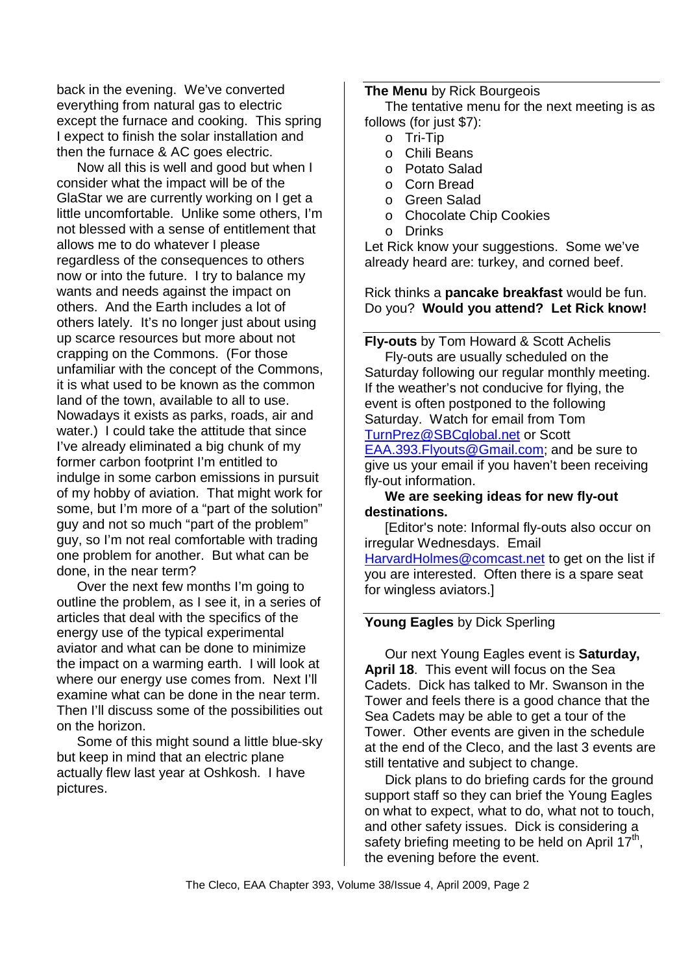back in the evening. We've converted everything from natural gas to electric except the furnace and cooking. This spring I expect to finish the solar installation and then the furnace & AC goes electric.

Now all this is well and good but when I consider what the impact will be of the GlaStar we are currently working on I get a little uncomfortable. Unlike some others, I'm not blessed with a sense of entitlement that allows me to do whatever I please regardless of the consequences to others now or into the future. I try to balance my wants and needs against the impact on others. And the Earth includes a lot of others lately. It's no longer just about using up scarce resources but more about not crapping on the Commons. (For those unfamiliar with the concept of the Commons, it is what used to be known as the common land of the town, available to all to use. Nowadays it exists as parks, roads, air and water.) I could take the attitude that since I've already eliminated a big chunk of my former carbon footprint I'm entitled to indulge in some carbon emissions in pursuit of my hobby of aviation. That might work for some, but I'm more of a "part of the solution" guy and not so much "part of the problem" guy, so I'm not real comfortable with trading one problem for another. But what can be done, in the near term?

Over the next few months I'm going to outline the problem, as I see it, in a series of articles that deal with the specifics of the energy use of the typical experimental aviator and what can be done to minimize the impact on a warming earth. I will look at where our energy use comes from. Next I'll examine what can be done in the near term. Then I'll discuss some of the possibilities out on the horizon.

Some of this might sound a little blue-sky but keep in mind that an electric plane actually flew last year at Oshkosh. I have pictures.

#### **The Menu** by Rick Bourgeois

The tentative menu for the next meeting is as follows (for just \$7):

- o Tri-Tip
- o Chili Beans
- o Potato Salad
- o Corn Bread
- o Green Salad
- o Chocolate Chip Cookies
- o Drinks

Let Rick know your suggestions. Some we've already heard are: turkey, and corned beef.

Rick thinks a **pancake breakfast** would be fun. Do you? **Would you attend? Let Rick know!** 

**Fly-outs** by Tom Howard & Scott Achelis

Fly-outs are usually scheduled on the Saturday following our regular monthly meeting. If the weather's not conducive for flying, the event is often postponed to the following Saturday. Watch for email from Tom TurnPrez@SBCglobal.net or Scott EAA.393.Flyouts@Gmail.com; and be sure to

give us your email if you haven't been receiving fly-out information.

#### **We are seeking ideas for new fly-out destinations.**

[Editor's note: Informal fly-outs also occur on irregular Wednesdays. Email

HarvardHolmes@comcast.net to get on the list if you are interested. Often there is a spare seat for wingless aviators.]

#### **Young Eagles** by Dick Sperling

Our next Young Eagles event is **Saturday, April 18**. This event will focus on the Sea Cadets. Dick has talked to Mr. Swanson in the Tower and feels there is a good chance that the Sea Cadets may be able to get a tour of the Tower. Other events are given in the schedule at the end of the Cleco, and the last 3 events are still tentative and subject to change.

Dick plans to do briefing cards for the ground support staff so they can brief the Young Eagles on what to expect, what to do, what not to touch, and other safety issues. Dick is considering a safety briefing meeting to be held on April  $17<sup>th</sup>$ , the evening before the event.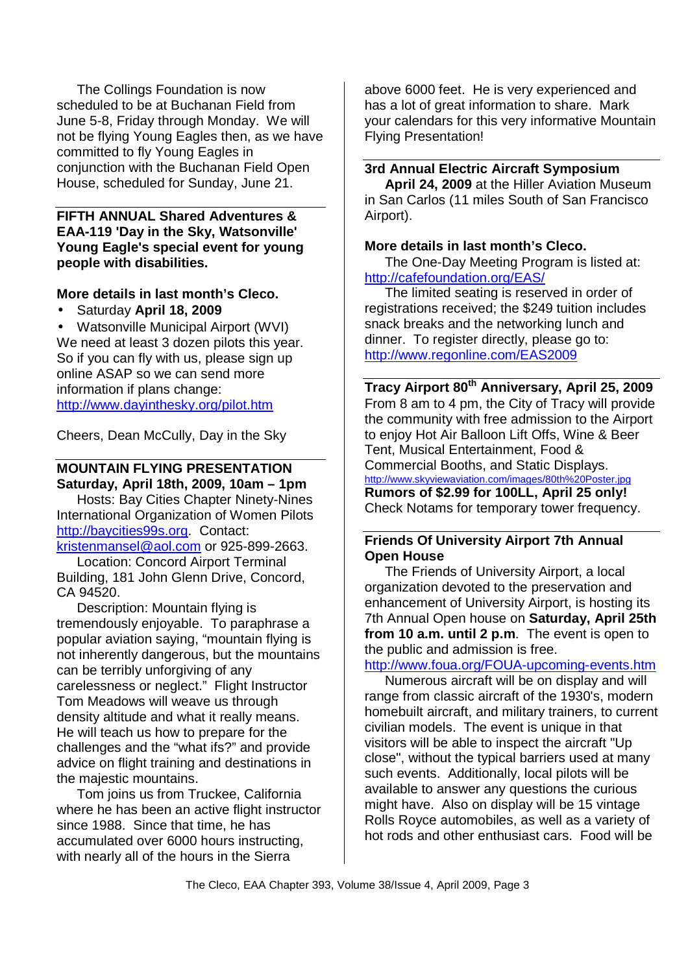The Collings Foundation is now scheduled to be at Buchanan Field from June 5-8, Friday through Monday. We will not be flying Young Eagles then, as we have committed to fly Young Eagles in conjunction with the Buchanan Field Open House, scheduled for Sunday, June 21.

#### **FIFTH ANNUAL Shared Adventures & EAA-119 'Day in the Sky, Watsonville' Young Eagle's special event for young people with disabilities.**

### **More details in last month's Cleco.**

• Saturday **April 18, 2009**

• Watsonville Municipal Airport (WVI) We need at least 3 dozen pilots this year. So if you can fly with us, please sign up online ASAP so we can send more information if plans change: http://www.dayinthesky.org/pilot.htm

Cheers, Dean McCully, Day in the Sky

# **MOUNTAIN FLYING PRESENTATION Saturday, April 18th, 2009, 10am – 1pm**

Hosts: Bay Cities Chapter Ninety-Nines International Organization of Women Pilots http://baycities99s.org. Contact: kristenmansel@aol.com or 925-899-2663.

Location: Concord Airport Terminal Building, 181 John Glenn Drive, Concord, CA 94520.

Description: Mountain flying is tremendously enjoyable. To paraphrase a popular aviation saying, "mountain flying is not inherently dangerous, but the mountains can be terribly unforgiving of any carelessness or neglect." Flight Instructor Tom Meadows will weave us through density altitude and what it really means. He will teach us how to prepare for the challenges and the "what ifs?" and provide advice on flight training and destinations in the majestic mountains.

Tom joins us from Truckee, California where he has been an active flight instructor since 1988. Since that time, he has accumulated over 6000 hours instructing, with nearly all of the hours in the Sierra

above 6000 feet. He is very experienced and has a lot of great information to share. Mark your calendars for this very informative Mountain Flying Presentation!

### **3rd Annual Electric Aircraft Symposium**

**April 24, 2009** at the Hiller Aviation Museum in San Carlos (11 miles South of San Francisco Airport).

### **More details in last month's Cleco.**

The One-Day Meeting Program is listed at: http://cafefoundation.org/EAS/

The limited seating is reserved in order of registrations received; the \$249 tuition includes snack breaks and the networking lunch and dinner. To register directly, please go to: http://www.regonline.com/EAS2009

**Tracy Airport 80th Anniversary, April 25, 2009**  From 8 am to 4 pm, the City of Tracy will provide the community with free admission to the Airport to enjoy Hot Air Balloon Lift Offs, Wine & Beer Tent, Musical Entertainment, Food & Commercial Booths, and Static Displays. http://www.skyviewaviation.com/images/80th%20Poster.jpg **Rumors of \$2.99 for 100LL, April 25 only!** Check Notams for temporary tower frequency.

### **Friends Of University Airport 7th Annual Open House**

The Friends of University Airport, a local organization devoted to the preservation and enhancement of University Airport, is hosting its 7th Annual Open house on **Saturday, April 25th from 10 a.m. until 2 p.m**. The event is open to the public and admission is free.

http://www.foua.org/FOUA-upcoming-events.htm

Numerous aircraft will be on display and will range from classic aircraft of the 1930's, modern homebuilt aircraft, and military trainers, to current civilian models. The event is unique in that visitors will be able to inspect the aircraft "Up close", without the typical barriers used at many such events. Additionally, local pilots will be available to answer any questions the curious might have. Also on display will be 15 vintage Rolls Royce automobiles, as well as a variety of hot rods and other enthusiast cars. Food will be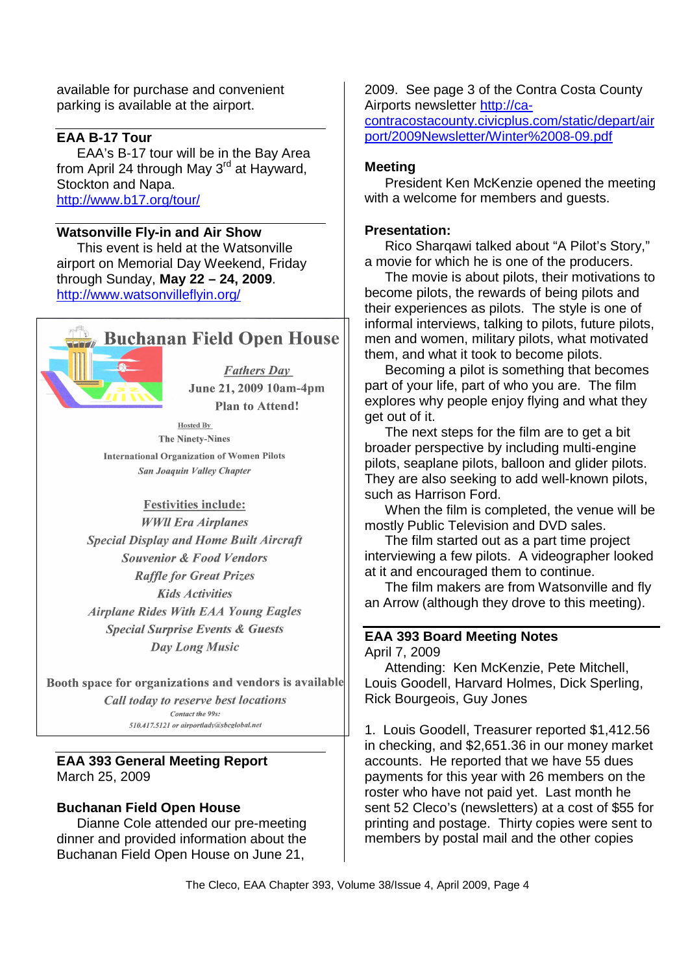available for purchase and convenient parking is available at the airport.

## **EAA B-17 Tour**

EAA's B-17 tour will be in the Bay Area from April 24 through May 3<sup>rd</sup> at Hayward, Stockton and Napa. http://www.b17.org/tour/

#### **Watsonville Fly-in and Air Show**

This event is held at the Watsonville airport on Memorial Day Weekend, Friday through Sunday, **May 22 – 24, 2009**. http://www.watsonvilleflyin.org/



# **Buchanan Field Open House**

**Fathers Day** June 21, 2009 10am-4pm **Plan to Attend!** 

**Hosted By The Ninety-Nines International Organization of Women Pilots** San Joaquin Valley Chapter

#### **Festivities include:**

**WWII** Era Airplanes **Special Display and Home Built Aircraft Souvenior & Food Vendors Raffle for Great Prizes Kids Activities Airplane Rides With EAA Young Eagles Special Surprise Events & Guests** Day Long Music

Booth space for organizations and vendors is available Call today to reserve best locations

> Contact the 99s: 510.417.5121 or girportlady@shcolohal.net

### **EAA 393 General Meeting Report**  March 25, 2009

#### **Buchanan Field Open House**

Dianne Cole attended our pre-meeting dinner and provided information about the Buchanan Field Open House on June 21,

2009. See page 3 of the Contra Costa County Airports newsletter http://ca-

contracostacounty.civicplus.com/static/depart/air port/2009Newsletter/Winter%2008-09.pdf

#### **Meeting**

President Ken McKenzie opened the meeting with a welcome for members and quests.

#### **Presentation:**

Rico Sharqawi talked about "A Pilot's Story," a movie for which he is one of the producers.

The movie is about pilots, their motivations to become pilots, the rewards of being pilots and their experiences as pilots. The style is one of informal interviews, talking to pilots, future pilots, men and women, military pilots, what motivated them, and what it took to become pilots.

Becoming a pilot is something that becomes part of your life, part of who you are. The film explores why people enjoy flying and what they get out of it.

The next steps for the film are to get a bit broader perspective by including multi-engine pilots, seaplane pilots, balloon and glider pilots. They are also seeking to add well-known pilots, such as Harrison Ford.

When the film is completed, the venue will be mostly Public Television and DVD sales.

The film started out as a part time project interviewing a few pilots. A videographer looked at it and encouraged them to continue.

The film makers are from Watsonville and fly an Arrow (although they drove to this meeting).

#### **EAA 393 Board Meeting Notes**  April 7, 2009

Attending: Ken McKenzie, Pete Mitchell, Louis Goodell, Harvard Holmes, Dick Sperling, Rick Bourgeois, Guy Jones

1. Louis Goodell, Treasurer reported \$1,412.56 in checking, and \$2,651.36 in our money market accounts. He reported that we have 55 dues payments for this year with 26 members on the roster who have not paid yet. Last month he sent 52 Cleco's (newsletters) at a cost of \$55 for printing and postage. Thirty copies were sent to members by postal mail and the other copies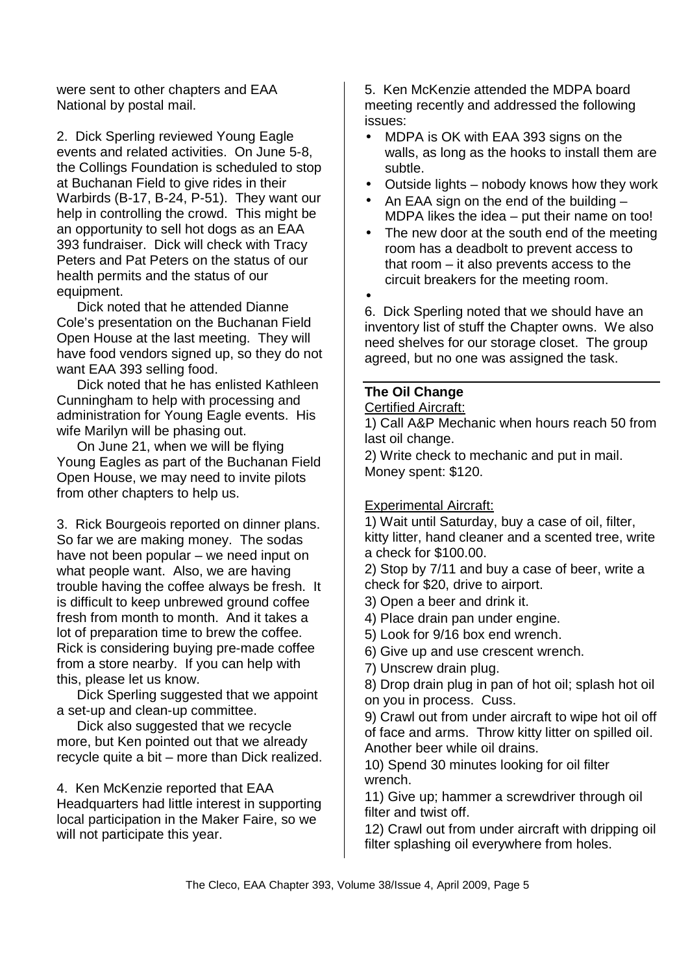were sent to other chapters and EAA National by postal mail.

2. Dick Sperling reviewed Young Eagle events and related activities. On June 5-8, the Collings Foundation is scheduled to stop at Buchanan Field to give rides in their Warbirds (B-17, B-24, P-51). They want our help in controlling the crowd. This might be an opportunity to sell hot dogs as an EAA 393 fundraiser. Dick will check with Tracy Peters and Pat Peters on the status of our health permits and the status of our equipment.

Dick noted that he attended Dianne Cole's presentation on the Buchanan Field Open House at the last meeting. They will have food vendors signed up, so they do not want EAA 393 selling food.

Dick noted that he has enlisted Kathleen Cunningham to help with processing and administration for Young Eagle events. His wife Marilyn will be phasing out.

On June 21, when we will be flying Young Eagles as part of the Buchanan Field Open House, we may need to invite pilots from other chapters to help us.

3. Rick Bourgeois reported on dinner plans. So far we are making money. The sodas have not been popular – we need input on what people want. Also, we are having trouble having the coffee always be fresh. It is difficult to keep unbrewed ground coffee fresh from month to month. And it takes a lot of preparation time to brew the coffee. Rick is considering buying pre-made coffee from a store nearby. If you can help with this, please let us know.

Dick Sperling suggested that we appoint a set-up and clean-up committee.

Dick also suggested that we recycle more, but Ken pointed out that we already recycle quite a bit – more than Dick realized.

4. Ken McKenzie reported that EAA Headquarters had little interest in supporting local participation in the Maker Faire, so we will not participate this year.

5. Ken McKenzie attended the MDPA board meeting recently and addressed the following issues:

- MDPA is OK with EAA 393 signs on the walls, as long as the hooks to install them are subtle.
- Outside lights nobody knows how they work
- An EAA sign on the end of the building  $-$ MDPA likes the idea – put their name on too!
- The new door at the south end of the meeting room has a deadbolt to prevent access to that room – it also prevents access to the circuit breakers for the meeting room.
- •

6. Dick Sperling noted that we should have an inventory list of stuff the Chapter owns. We also need shelves for our storage closet. The group agreed, but no one was assigned the task.

# **The Oil Change**

#### Certified Aircraft:

1) Call A&P Mechanic when hours reach 50 from last oil change.

2) Write check to mechanic and put in mail. Money spent: \$120.

# Experimental Aircraft:

1) Wait until Saturday, buy a case of oil, filter, kitty litter, hand cleaner and a scented tree, write a check for \$100.00.

2) Stop by 7/11 and buy a case of beer, write a check for \$20, drive to airport.

- 3) Open a beer and drink it.
- 4) Place drain pan under engine.
- 5) Look for 9/16 box end wrench.
- 6) Give up and use crescent wrench.
- 7) Unscrew drain plug.

8) Drop drain plug in pan of hot oil; splash hot oil on you in process. Cuss.

9) Crawl out from under aircraft to wipe hot oil off of face and arms. Throw kitty litter on spilled oil. Another beer while oil drains.

10) Spend 30 minutes looking for oil filter wrench.

11) Give up; hammer a screwdriver through oil filter and twist off.

12) Crawl out from under aircraft with dripping oil filter splashing oil everywhere from holes.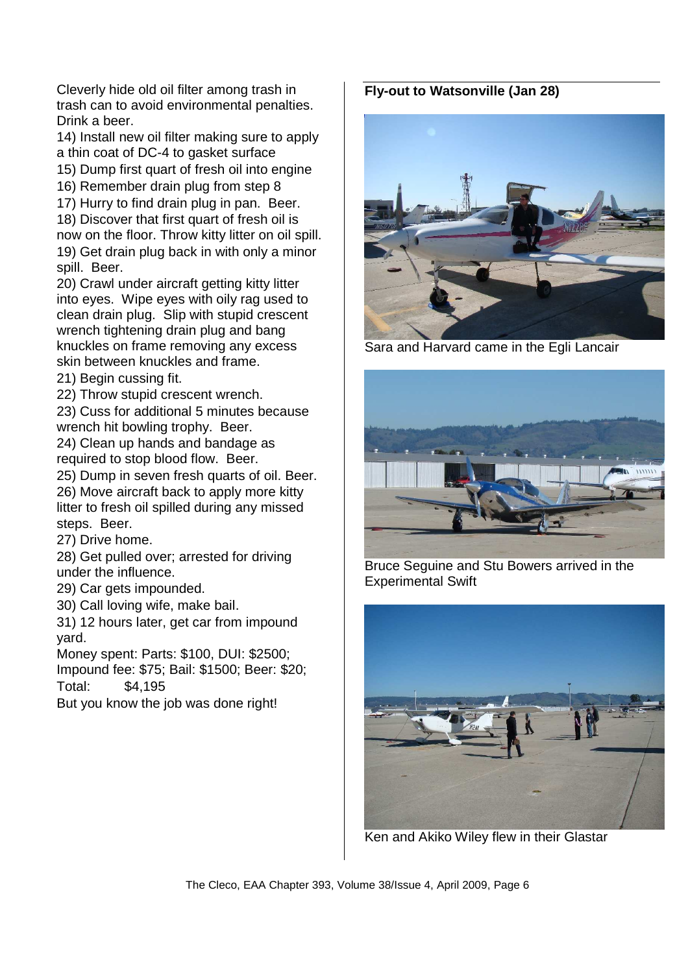Cleverly hide old oil filter among trash in trash can to avoid environmental penalties. Drink a beer.

14) Install new oil filter making sure to apply a thin coat of DC-4 to gasket surface

15) Dump first quart of fresh oil into engine

16) Remember drain plug from step 8

17) Hurry to find drain plug in pan. Beer.

18) Discover that first quart of fresh oil is now on the floor. Throw kitty litter on oil spill. 19) Get drain plug back in with only a minor spill. Beer.

20) Crawl under aircraft getting kitty litter into eyes. Wipe eyes with oily rag used to clean drain plug. Slip with stupid crescent wrench tightening drain plug and bang knuckles on frame removing any excess skin between knuckles and frame.

21) Begin cussing fit.

22) Throw stupid crescent wrench.

23) Cuss for additional 5 minutes because wrench hit bowling trophy. Beer.

24) Clean up hands and bandage as required to stop blood flow. Beer.

25) Dump in seven fresh quarts of oil. Beer.

26) Move aircraft back to apply more kitty litter to fresh oil spilled during any missed steps. Beer.

27) Drive home.

28) Get pulled over; arrested for driving under the influence.

29) Car gets impounded.

30) Call loving wife, make bail.

31) 12 hours later, get car from impound yard.

Money spent: Parts: \$100, DUI: \$2500; Impound fee: \$75; Bail: \$1500; Beer: \$20;

Total: \$4,195

But you know the job was done right!

# **Fly-out to Watsonville (Jan 28)**



Sara and Harvard came in the Egli Lancair



Bruce Seguine and Stu Bowers arrived in the Experimental Swift



Ken and Akiko Wiley flew in their Glastar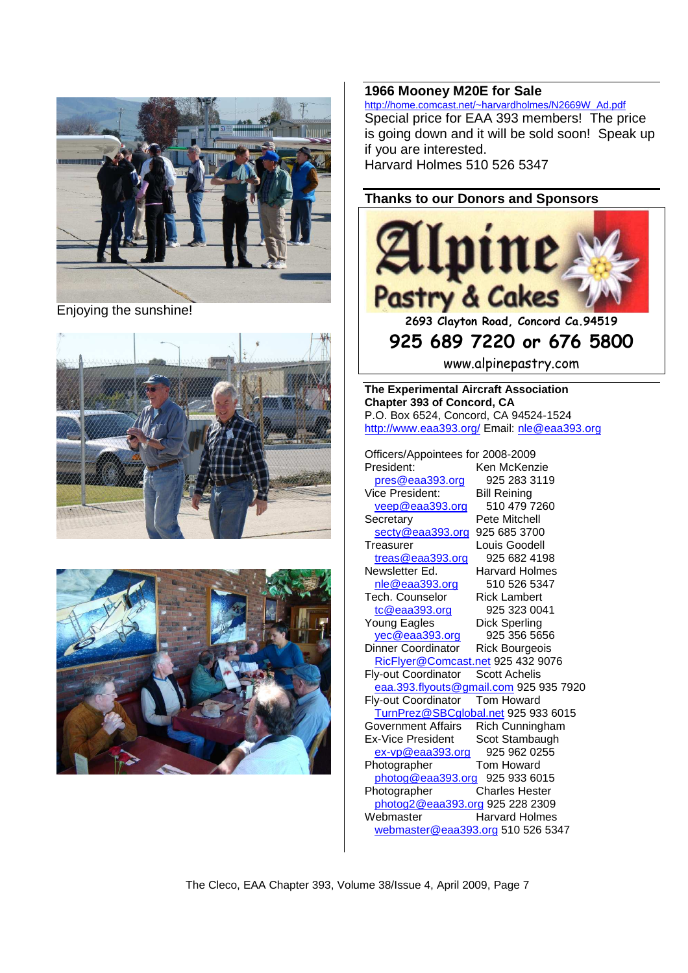

Enjoying the sunshine!





#### **1966 Mooney M20E for Sale**

http://home.comcast.net/~harvardholmes/N2669W\_Ad.pdf Special price for EAA 393 members! The price is going down and it will be sold soon! Speak up if you are interested. Harvard Holmes 510 526 5347

**Thanks to our Donors and Sponsors** 



www.alpinepastry.com

**The Experimental Aircraft Association Chapter 393 of Concord, CA**  P.O. Box 6524, Concord, CA 94524-1524 http://www.eaa393.org/ Email: nle@eaa393.org

Officers/Appointees for 2008-2009 President: Ken McKenzie

pres@eaa393.org 925 283 3119 Vice President: Bill Reining veep@eaa393.org 510 479 7260 Secretary Pete Mitchell secty@eaa393.org 925 685 3700 Treasurer Louis Goodell treas@eaa393.org 925 682 4198 Newsletter Ed. Harvard Holmes nle@eaa393.org 510 526 5347 Tech. Counselor Rick Lambert tc@eaa393.org 925 323 0041 Young Eagles Dick Sperling yec@eaa393.org 925 356 5656 Dinner Coordinator Rick Bourgeois RicFlyer@Comcast.net 925 432 9076 Fly-out Coordinator Scott Achelis eaa.393.flyouts@gmail.com 925 935 7920 Fly-out Coordinator Tom Howard TurnPrez@SBCglobal.net 925 933 6015 Government Affairs Rich Cunningham Ex-Vice President Scot Stambaugh ex-vp@eaa393.org 925 962 0255 Photographer Tom Howard photog@eaa393.org 925 933 6015 Photographer Charles Hester photog2@eaa393.org 925 228 2309 Webmaster **Harvard Holmes** webmaster@eaa393.org 510 526 5347